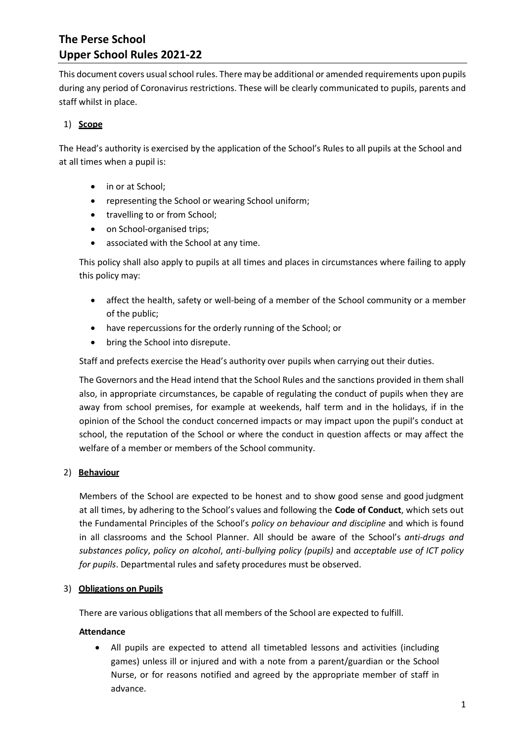This document covers usual school rules. There may be additional or amended requirements upon pupils during any period of Coronavirus restrictions. These will be clearly communicated to pupils, parents and staff whilst in place.

## 1) **Scope**

The Head's authority is exercised by the application of the School's Rules to all pupils at the School and at all times when a pupil is:

- in or at School;
- representing the School or wearing School uniform;
- travelling to or from School;
- on School-organised trips;
- associated with the School at any time.

This policy shall also apply to pupils at all times and places in circumstances where failing to apply this policy may:

- affect the health, safety or well-being of a member of the School community or a member of the public;
- have repercussions for the orderly running of the School; or
- bring the School into disrepute.

Staff and prefects exercise the Head's authority over pupils when carrying out their duties.

The Governors and the Head intend that the School Rules and the sanctions provided in them shall also, in appropriate circumstances, be capable of regulating the conduct of pupils when they are away from school premises, for example at weekends, half term and in the holidays, if in the opinion of the School the conduct concerned impacts or may impact upon the pupil's conduct at school, the reputation of the School or where the conduct in question affects or may affect the welfare of a member or members of the School community.

### 2) **Behaviour**

Members of the School are expected to be honest and to show good sense and good judgment at all times, by adhering to the School's values and following the **Code of Conduct**, which sets out the Fundamental Principles of the School's *policy on behaviour and discipline* and which is found in all classrooms and the School Planner. All should be aware of the School's *anti-drugs and substances policy*, *policy on alcohol*, *anti-bullying policy (pupils)* and *acceptable use of ICT policy for pupils*. Departmental rules and safety procedures must be observed.

### 3) **Obligations on Pupils**

There are various obligations that all members of the School are expected to fulfill.

### **Attendance**

• All pupils are expected to attend all timetabled lessons and activities (including games) unless ill or injured and with a note from a parent/guardian or the School Nurse, or for reasons notified and agreed by the appropriate member of staff in advance.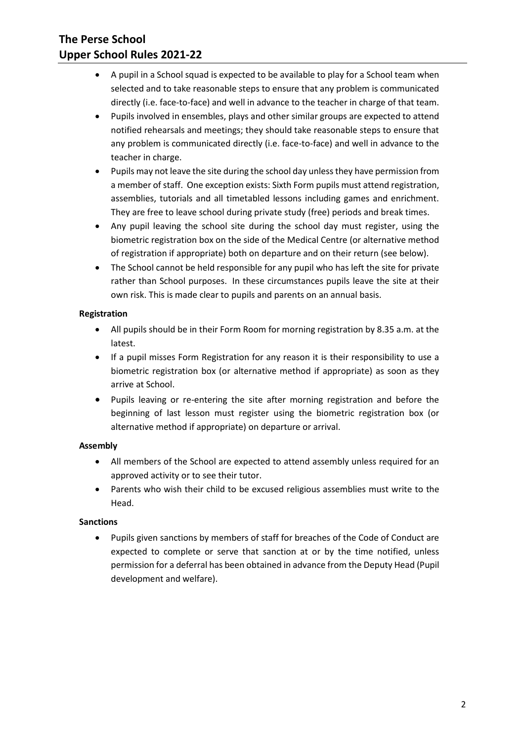- A pupil in a School squad is expected to be available to play for a School team when selected and to take reasonable steps to ensure that any problem is communicated directly (i.e. face-to-face) and well in advance to the teacher in charge of that team.
- Pupils involved in ensembles, plays and other similar groups are expected to attend notified rehearsals and meetings; they should take reasonable steps to ensure that any problem is communicated directly (i.e. face-to-face) and well in advance to the teacher in charge.
- Pupils may not leave the site during the school day unless they have permission from a member of staff. One exception exists: Sixth Form pupils must attend registration, assemblies, tutorials and all timetabled lessons including games and enrichment. They are free to leave school during private study (free) periods and break times.
- Any pupil leaving the school site during the school day must register, using the biometric registration box on the side of the Medical Centre (or alternative method of registration if appropriate) both on departure and on their return (see below).
- The School cannot be held responsible for any pupil who has left the site for private rather than School purposes. In these circumstances pupils leave the site at their own risk. This is made clear to pupils and parents on an annual basis.

## **Registration**

- All pupils should be in their Form Room for morning registration by 8.35 a.m. at the latest.
- If a pupil misses Form Registration for any reason it is their responsibility to use a biometric registration box (or alternative method if appropriate) as soon as they arrive at School.
- Pupils leaving or re-entering the site after morning registration and before the beginning of last lesson must register using the biometric registration box (or alternative method if appropriate) on departure or arrival.

## **Assembly**

- All members of the School are expected to attend assembly unless required for an approved activity or to see their tutor.
- Parents who wish their child to be excused religious assemblies must write to the Head.

## **Sanctions**

• Pupils given sanctions by members of staff for breaches of the Code of Conduct are expected to complete or serve that sanction at or by the time notified, unless permission for a deferral has been obtained in advance from the Deputy Head (Pupil development and welfare).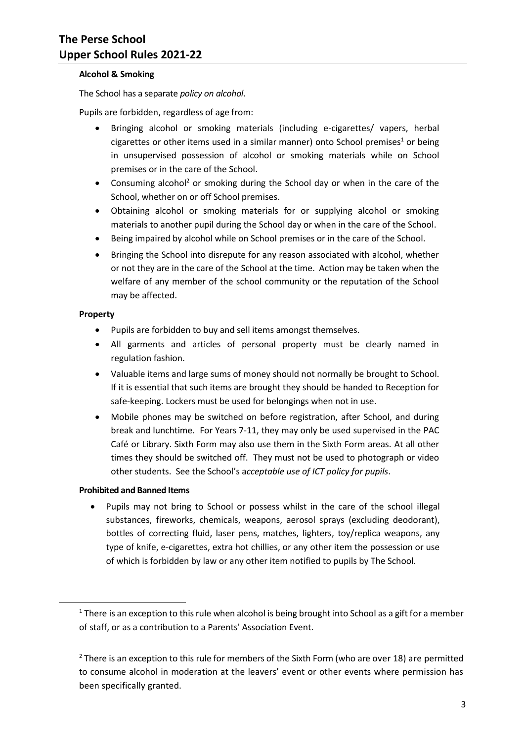#### **Alcohol & Smoking**

The School has a separate *policy on alcohol*.

Pupils are forbidden, regardless of age from:

- Bringing alcohol or smoking materials (including e-cigarettes/ vapers, herbal cigarettes or other items used in a similar manner) onto School premises<sup>1</sup> or being in unsupervised possession of alcohol or smoking materials while on School premises or in the care of the School.
- Consuming alcohol<sup>2</sup> or smoking during the School day or when in the care of the School, whether on or off School premises.
- Obtaining alcohol or smoking materials for or supplying alcohol or smoking materials to another pupil during the School day or when in the care of the School.
- Being impaired by alcohol while on School premises or in the care of the School.
- Bringing the School into disrepute for any reason associated with alcohol, whether or not they are in the care of the School at the time. Action may be taken when the welfare of any member of the school community or the reputation of the School may be affected.

### **Property**

1

- Pupils are forbidden to buy and sell items amongst themselves.
- All garments and articles of personal property must be clearly named in regulation fashion.
- Valuable items and large sums of money should not normally be brought to School. If it is essential that such items are brought they should be handed to Reception for safe-keeping. Lockers must be used for belongings when not in use.
- Mobile phones may be switched on before registration, after School, and during break and lunchtime. For Years 7-11, they may only be used supervised in the PAC Café or Library. Sixth Form may also use them in the Sixth Form areas. At all other times they should be switched off. They must not be used to photograph or video other students. See the School's a*cceptable use of ICT policy for pupils*.

### **Prohibited and Banned Items**

• Pupils may not bring to School or possess whilst in the care of the school illegal substances, fireworks, chemicals, weapons, aerosol sprays (excluding deodorant), bottles of correcting fluid, laser pens, matches, lighters, toy/replica weapons, any type of knife, e-cigarettes, extra hot chillies, or any other item the possession or use of which is forbidden by law or any other item notified to pupils by The School.

 $1$  There is an exception to this rule when alcohol is being brought into School as a gift for a member of staff, or as a contribution to a Parents' Association Event.

 $2$  There is an exception to this rule for members of the Sixth Form (who are over 18) are permitted to consume alcohol in moderation at the leavers' event or other events where permission has been specifically granted.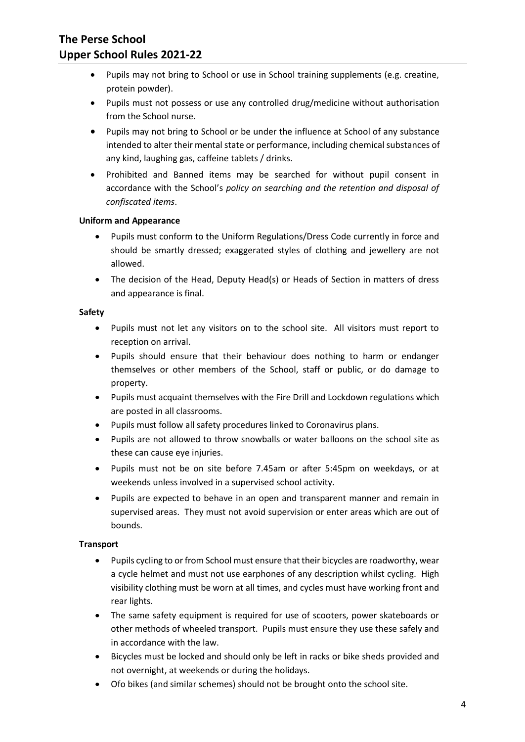- Pupils may not bring to School or use in School training supplements (e.g. creatine, protein powder).
- Pupils must not possess or use any controlled drug/medicine without authorisation from the School nurse.
- Pupils may not bring to School or be under the influence at School of any substance intended to alter their mental state or performance, including chemical substances of any kind, laughing gas, caffeine tablets / drinks.
- Prohibited and Banned items may be searched for without pupil consent in accordance with the School's *policy on searching and the retention and disposal of confiscated items*.

#### **Uniform and Appearance**

- Pupils must conform to the Uniform Regulations/Dress Code currently in force and should be smartly dressed; exaggerated styles of clothing and jewellery are not allowed.
- The decision of the Head, Deputy Head(s) or Heads of Section in matters of dress and appearance is final.

#### **Safety**

- Pupils must not let any visitors on to the school site. All visitors must report to reception on arrival.
- Pupils should ensure that their behaviour does nothing to harm or endanger themselves or other members of the School, staff or public, or do damage to property.
- Pupils must acquaint themselves with the Fire Drill and Lockdown regulations which are posted in all classrooms.
- Pupils must follow all safety procedures linked to Coronavirus plans.
- Pupils are not allowed to throw snowballs or water balloons on the school site as these can cause eye injuries.
- Pupils must not be on site before 7.45am or after 5:45pm on weekdays, or at weekends unless involved in a supervised school activity.
- Pupils are expected to behave in an open and transparent manner and remain in supervised areas. They must not avoid supervision or enter areas which are out of bounds.

#### **Transport**

- Pupils cycling to or from School must ensure that their bicycles are roadworthy, wear a cycle helmet and must not use earphones of any description whilst cycling. High visibility clothing must be worn at all times, and cycles must have working front and rear lights.
- The same safety equipment is required for use of scooters, power skateboards or other methods of wheeled transport. Pupils must ensure they use these safely and in accordance with the law.
- Bicycles must be locked and should only be left in racks or bike sheds provided and not overnight, at weekends or during the holidays.
- Ofo bikes (and similar schemes) should not be brought onto the school site.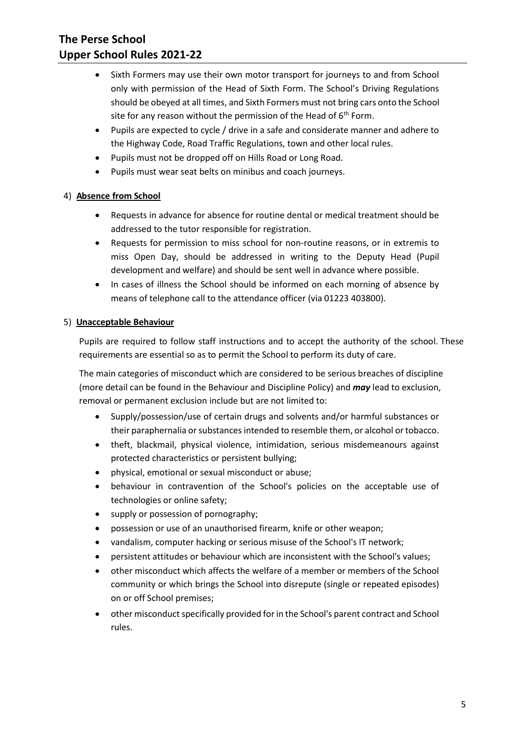- Sixth Formers may use their own motor transport for journeys to and from School only with permission of the Head of Sixth Form. The School's Driving Regulations should be obeyed at all times, and Sixth Formers must not bring cars onto the School site for any reason without the permission of the Head of  $6<sup>th</sup>$  Form.
- Pupils are expected to cycle / drive in a safe and considerate manner and adhere to the Highway Code, Road Traffic Regulations, town and other local rules.
- Pupils must not be dropped off on Hills Road or Long Road.
- Pupils must wear seat belts on minibus and coach journeys.

### 4) **Absence from School**

- Requests in advance for absence for routine dental or medical treatment should be addressed to the tutor responsible for registration.
- Requests for permission to miss school for non-routine reasons, or in extremis to miss Open Day, should be addressed in writing to the Deputy Head (Pupil development and welfare) and should be sent well in advance where possible.
- In cases of illness the School should be informed on each morning of absence by means of telephone call to the attendance officer (via 01223 403800).

### 5) **Unacceptable Behaviour**

Pupils are required to follow staff instructions and to accept the authority of the school. These requirements are essential so as to permit the School to perform its duty of care.

The main categories of misconduct which are considered to be serious breaches of discipline (more detail can be found in the Behaviour and Discipline Policy) and *may* lead to exclusion, removal or permanent exclusion include but are not limited to:

- Supply/possession/use of certain drugs and solvents and/or harmful substances or their paraphernalia or substances intended to resemble them, or alcohol or tobacco.
- theft, blackmail, physical violence, intimidation, serious misdemeanours against protected characteristics or persistent bullying;
- physical, emotional or sexual misconduct or abuse;
- behaviour in contravention of the School's policies on the acceptable use of technologies or online safety;
- supply or possession of pornography;
- possession or use of an unauthorised firearm, knife or other weapon;
- vandalism, computer hacking or serious misuse of the School's IT network;
- persistent attitudes or behaviour which are inconsistent with the School's values;
- other misconduct which affects the welfare of a member or members of the School community or which brings the School into disrepute (single or repeated episodes) on or off School premises;
- other misconduct specifically provided for in the School's parent contract and School rules.